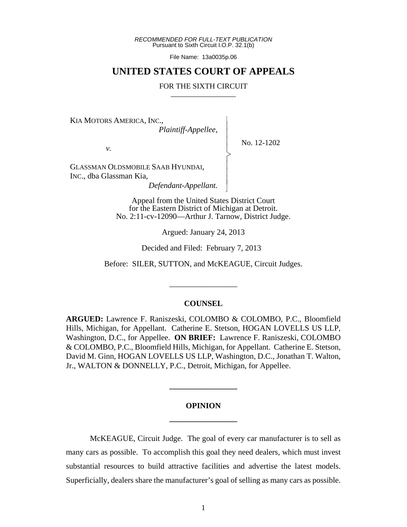*RECOMMENDED FOR FULL-TEXT PUBLICATION* Pursuant to Sixth Circuit I.O.P. 32.1(b)

File Name: 13a0035p.06

# **UNITED STATES COURT OF APPEALS**

#### FOR THE SIXTH CIRCUIT

 $\overline{\phantom{a}}$ - - - > , - - - N

KIA MOTORS AMERICA, INC.,

*Plaintiff-Appellee*,

No. 12-1202

*v.*

GLASSMAN OLDSMOBILE SAAB HYUNDAI, INC., dba Glassman Kia,

 *Defendant-Appellant.*

Appeal from the United States District Court for the Eastern District of Michigan at Detroit. No. 2:11-cv-12090—Arthur J. Tarnow, District Judge.

Argued: January 24, 2013

Decided and Filed: February 7, 2013

Before: SILER, SUTTON, and McKEAGUE, Circuit Judges.

\_\_\_\_\_\_\_\_\_\_\_\_\_\_\_\_\_

# **COUNSEL**

**ARGUED:** Lawrence F. Raniszeski, COLOMBO & COLOMBO, P.C., Bloomfield Hills, Michigan, for Appellant. Catherine E. Stetson, HOGAN LOVELLS US LLP, Washington, D.C., for Appellee. **ON BRIEF:** Lawrence F. Raniszeski, COLOMBO & COLOMBO, P.C., Bloomfield Hills, Michigan, for Appellant. Catherine E. Stetson, David M. Ginn, HOGAN LOVELLS US LLP, Washington, D.C., Jonathan T. Walton, Jr., WALTON & DONNELLY, P.C., Detroit, Michigan, for Appellee.

# **OPINION \_\_\_\_\_\_\_\_\_\_\_\_\_\_\_\_\_**

**\_\_\_\_\_\_\_\_\_\_\_\_\_\_\_\_\_**

McKEAGUE, Circuit Judge. The goal of every car manufacturer is to sell as many cars as possible. To accomplish this goal they need dealers, which must invest substantial resources to build attractive facilities and advertise the latest models. Superficially, dealers share the manufacturer's goal of selling as many cars as possible.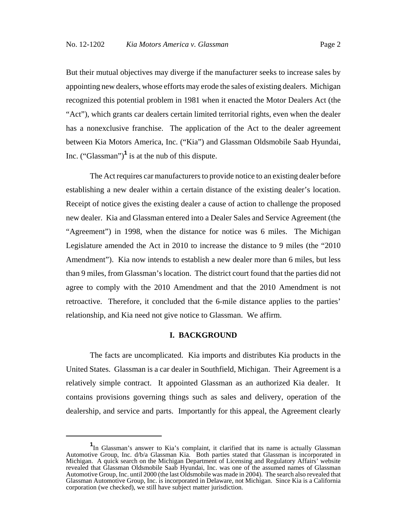But their mutual objectives may diverge if the manufacturer seeks to increase sales by appointing new dealers, whose efforts may erode the sales of existing dealers. Michigan recognized this potential problem in 1981 when it enacted the Motor Dealers Act (the "Act"), which grants car dealers certain limited territorial rights, even when the dealer has a nonexclusive franchise. The application of the Act to the dealer agreement between Kia Motors America, Inc. ("Kia") and Glassman Oldsmobile Saab Hyundai, Inc. ("Glassman")<sup>1</sup> is at the nub of this dispute.

The Act requires car manufacturers to provide notice to an existing dealer before establishing a new dealer within a certain distance of the existing dealer's location. Receipt of notice gives the existing dealer a cause of action to challenge the proposed new dealer. Kia and Glassman entered into a Dealer Sales and Service Agreement (the "Agreement") in 1998, when the distance for notice was 6 miles. The Michigan Legislature amended the Act in 2010 to increase the distance to 9 miles (the "2010 Amendment"). Kia now intends to establish a new dealer more than 6 miles, but less than 9 miles, from Glassman's location. The district court found that the parties did not agree to comply with the 2010 Amendment and that the 2010 Amendment is not retroactive. Therefore, it concluded that the 6-mile distance applies to the parties' relationship, and Kia need not give notice to Glassman. We affirm.

#### **I. BACKGROUND**

The facts are uncomplicated. Kia imports and distributes Kia products in the United States. Glassman is a car dealer in Southfield, Michigan. Their Agreement is a relatively simple contract. It appointed Glassman as an authorized Kia dealer. It contains provisions governing things such as sales and delivery, operation of the dealership, and service and parts. Importantly for this appeal, the Agreement clearly

<sup>&</sup>lt;sup>1</sup>In Glassman's answer to Kia's complaint, it clarified that its name is actually Glassman Automotive Group, Inc. d/b/a Glassman Kia. Both parties stated that Glassman is incorporated in Michigan. A quick search on the Michigan Department of Licensing and Regulatory Affairs' website revealed that Glassman Oldsmobile Saab Hyundai, Inc. was one of the assumed names of Glassman Automotive Group, Inc. until 2000 (the last Oldsmobile was made in 2004). The search also revealed that Glassman Automotive Group, Inc. is incorporated in Delaware, not Michigan. Since Kia is a California corporation (we checked), we still have subject matter jurisdiction.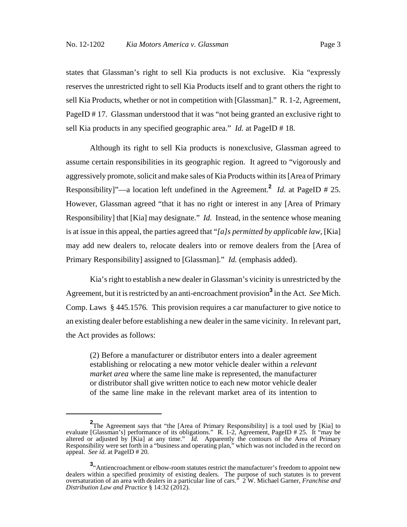states that Glassman's right to sell Kia products is not exclusive. Kia "expressly reserves the unrestricted right to sell Kia Products itself and to grant others the right to sell Kia Products, whether or not in competition with [Glassman]." R. 1-2, Agreement, PageID # 17. Glassman understood that it was "not being granted an exclusive right to sell Kia products in any specified geographic area." *Id.* at PageID # 18.

Although its right to sell Kia products is nonexclusive, Glassman agreed to assume certain responsibilities in its geographic region. It agreed to "vigorously and aggressively promote, solicit and make sales of Kia Products within its [Area of Primary Responsibility]"—a location left undefined in the Agreement.**<sup>2</sup>** *Id.* at PageID # 25. However, Glassman agreed "that it has no right or interest in any [Area of Primary Responsibility] that [Kia] may designate." *Id.* Instead, in the sentence whose meaning is at issue in this appeal, the parties agreed that "*[a]s permitted by applicable law*, [Kia] may add new dealers to, relocate dealers into or remove dealers from the [Area of Primary Responsibility] assigned to [Glassman]." *Id.* (emphasis added).

Kia's right to establish a new dealer in Glassman's vicinity is unrestricted by the Agreement, but it is restricted by an anti-encroachment provision**<sup>3</sup>** in the Act. *See* Mich. Comp. Laws § 445.1576*.* This provision requires a car manufacturer to give notice to an existing dealer before establishing a new dealer in the same vicinity. In relevant part, the Act provides as follows:

(2) Before a manufacturer or distributor enters into a dealer agreement establishing or relocating a new motor vehicle dealer within a *relevant market area* where the same line make is represented, the manufacturer or distributor shall give written notice to each new motor vehicle dealer of the same line make in the relevant market area of its intention to

**<sup>2</sup>**The Agreement says that "the [Area of Primary Responsibility] is a tool used by [Kia] to evaluate [Glassman's] performance of its obligations." R. 1-2, Agreement, PageID # 25. It "may be altered or adjusted by [Kia] at any time." *Id.* Apparently the contours of the Area of Primary Responsibility were set forth in a "business and operating plan," which was not included in the record on appeal. *See id.* at PageID # 20.

**<sup>3</sup>** "Antiencroachment or elbow-room statutes restrict the manufacturer's freedom to appoint new dealers within a specified proximity of existing dealers. The purpose of such statutes is to prevent oversaturation of an area with dealers in a particular line of cars." 2 W. Michael Garner, *Franchise and Distribution Law and Practice* § 14:32 (2012).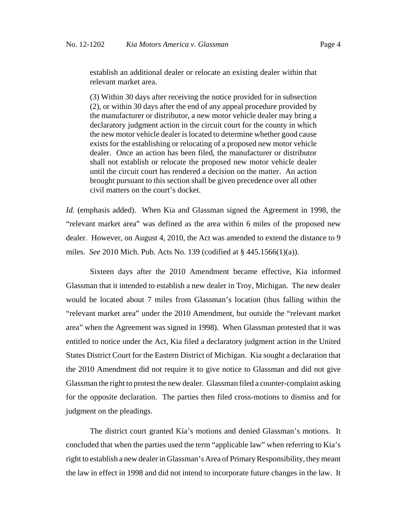establish an additional dealer or relocate an existing dealer within that relevant market area.

(3) Within 30 days after receiving the notice provided for in subsection (2), or within 30 days after the end of any appeal procedure provided by the manufacturer or distributor, a new motor vehicle dealer may bring a declaratory judgment action in the circuit court for the county in which the new motor vehicle dealer is located to determine whether good cause exists for the establishing or relocating of a proposed new motor vehicle dealer. Once an action has been filed, the manufacturer or distributor shall not establish or relocate the proposed new motor vehicle dealer until the circuit court has rendered a decision on the matter. An action brought pursuant to this section shall be given precedence over all other civil matters on the court's docket.

*Id.* (emphasis added). When Kia and Glassman signed the Agreement in 1998, the "relevant market area" was defined as the area within 6 miles of the proposed new dealer. However, on August 4, 2010, the Act was amended to extend the distance to 9 miles. *See* 2010 Mich. Pub. Acts No. 139 (codified at § 445.1566(1)(a)).

Sixteen days after the 2010 Amendment became effective, Kia informed Glassman that it intended to establish a new dealer in Troy, Michigan. The new dealer would be located about 7 miles from Glassman's location (thus falling within the "relevant market area" under the 2010 Amendment, but outside the "relevant market area" when the Agreement was signed in 1998). When Glassman protested that it was entitled to notice under the Act, Kia filed a declaratory judgment action in the United States District Court for the Eastern District of Michigan. Kia sought a declaration that the 2010 Amendment did not require it to give notice to Glassman and did not give Glassman the right to protest the new dealer. Glassman filed a counter-complaint asking for the opposite declaration. The parties then filed cross-motions to dismiss and for judgment on the pleadings.

The district court granted Kia's motions and denied Glassman's motions. It concluded that when the parties used the term "applicable law" when referring to Kia's right to establish a new dealer in Glassman's Area of Primary Responsibility, they meant the law in effect in 1998 and did not intend to incorporate future changes in the law. It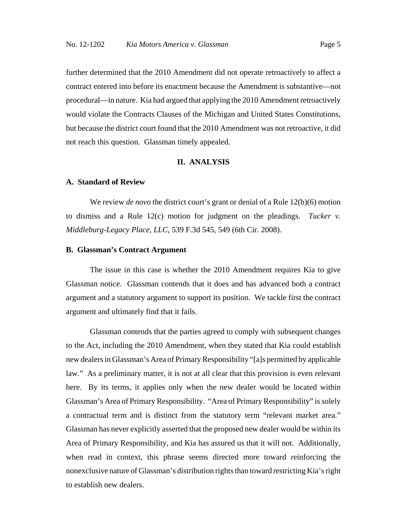further determined that the 2010 Amendment did not operate retroactively to affect a contract entered into before its enactment because the Amendment is substantive—not procedural—in nature. Kia had argued that applying the 2010 Amendment retroactively would violate the Contracts Clauses of the Michigan and United States Constitutions, but because the district court found that the 2010 Amendment was not retroactive, it did not reach this question. Glassman timely appealed.

## **II. ANALYSIS**

#### **A. Standard of Review**

We review *de novo* the district court's grant or denial of a Rule 12(b)(6) motion to dismiss and a Rule 12(c) motion for judgment on the pleadings. *Tucker v. Middleburg-Legacy Place, LLC*, 539 F.3d 545, 549 (6th Cir. 2008).

#### **B. Glassman's Contract Argument**

The issue in this case is whether the 2010 Amendment requires Kia to give Glassman notice. Glassman contends that it does and has advanced both a contract argument and a statutory argument to support its position. We tackle first the contract argument and ultimately find that it fails.

Glassman contends that the parties agreed to comply with subsequent changes to the Act, including the 2010 Amendment, when they stated that Kia could establish new dealers in Glassman's Area of Primary Responsibility "[a]s permitted by applicable law." As a preliminary matter, it is not at all clear that this provision is even relevant here. By its terms, it applies only when the new dealer would be located within Glassman's Area of Primary Responsibility. "Area of Primary Responsibility" is solely a contractual term and is distinct from the statutory term "relevant market area." Glassman has never explicitly asserted that the proposed new dealer would be within its Area of Primary Responsibility, and Kia has assured us that it will not. Additionally, when read in context, this phrase seems directed more toward reinforcing the nonexclusive nature of Glassman's distribution rights than toward restricting Kia's right to establish new dealers.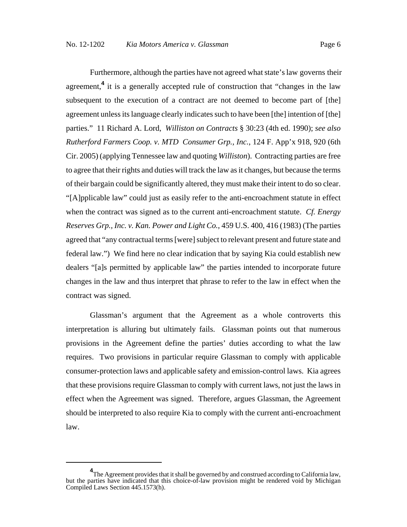Furthermore, although the parties have not agreed what state's law governs their agreement,<sup>4</sup> it is a generally accepted rule of construction that "changes in the law subsequent to the execution of a contract are not deemed to become part of [the] agreement unless its language clearly indicates such to have been [the] intention of [the] parties." 11 Richard A. Lord, *Williston on Contracts* § 30:23 (4th ed. 1990); *see also Rutherford Farmers Coop. v. MTD Consumer Grp., Inc.*, 124 F. App'x 918, 920 (6th Cir. 2005) (applying Tennessee law and quoting *Williston*). Contracting parties are free to agree that their rights and duties will track the law as it changes, but because the terms of their bargain could be significantly altered, they must make their intent to do so clear. "[A]pplicable law" could just as easily refer to the anti-encroachment statute in effect when the contract was signed as to the current anti-encroachment statute. *Cf. Energy Reserves Grp., Inc. v. Kan. Power and Light Co.*, 459 U.S. 400, 416 (1983) (The parties agreed that "any contractual terms [were] subject to relevant present and future state and federal law.") We find here no clear indication that by saying Kia could establish new dealers "[a]s permitted by applicable law" the parties intended to incorporate future changes in the law and thus interpret that phrase to refer to the law in effect when the contract was signed.

Glassman's argument that the Agreement as a whole controverts this interpretation is alluring but ultimately fails. Glassman points out that numerous provisions in the Agreement define the parties' duties according to what the law requires. Two provisions in particular require Glassman to comply with applicable consumer-protection laws and applicable safety and emission-control laws. Kia agrees that these provisions require Glassman to comply with current laws, not just the laws in effect when the Agreement was signed. Therefore, argues Glassman, the Agreement should be interpreted to also require Kia to comply with the current anti-encroachment law.

<sup>&</sup>lt;sup>4</sup>The Agreement provides that it shall be governed by and construed according to California law, but the parties have indicated that this choice-of-law provision might be rendered void by Michigan Compiled Laws Section 445.1573(h).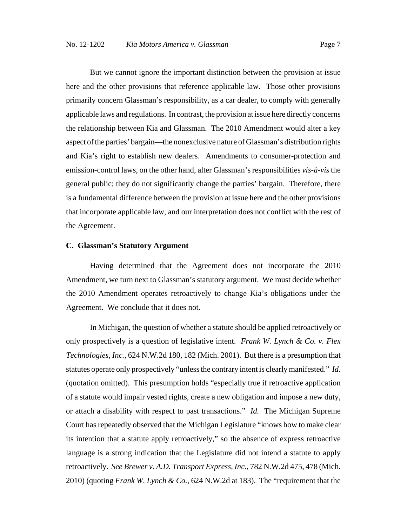But we cannot ignore the important distinction between the provision at issue here and the other provisions that reference applicable law. Those other provisions primarily concern Glassman's responsibility, as a car dealer, to comply with generally applicable laws and regulations. In contrast, the provision at issue here directly concerns the relationship between Kia and Glassman. The 2010 Amendment would alter a key aspect of the parties' bargain—the nonexclusive nature of Glassman's distribution rights and Kia's right to establish new dealers. Amendments to consumer-protection and emission-control laws, on the other hand, alter Glassman's responsibilities *vis-à-vis* the general public; they do not significantly change the parties' bargain. Therefore, there is a fundamental difference between the provision at issue here and the other provisions that incorporate applicable law, and our interpretation does not conflict with the rest of the Agreement.

#### **C. Glassman's Statutory Argument**

Having determined that the Agreement does not incorporate the 2010 Amendment, we turn next to Glassman's statutory argument. We must decide whether the 2010 Amendment operates retroactively to change Kia's obligations under the Agreement. We conclude that it does not.

In Michigan, the question of whether a statute should be applied retroactively or only prospectively is a question of legislative intent. *Frank W. Lynch & Co. v. Flex Technologies, Inc.*, 624 N.W.2d 180, 182 (Mich. 2001). But there is a presumption that statutes operate only prospectively "unless the contrary intent is clearly manifested." *Id.* (quotation omitted). This presumption holds "especially true if retroactive application of a statute would impair vested rights, create a new obligation and impose a new duty, or attach a disability with respect to past transactions." *Id.* The Michigan Supreme Court has repeatedly observed that the Michigan Legislature "knows how to make clear its intention that a statute apply retroactively," so the absence of express retroactive language is a strong indication that the Legislature did not intend a statute to apply retroactively. *See Brewer v. A.D. Transport Express, Inc.*, 782 N.W.2d 475, 478 (Mich. 2010) (quoting *Frank W. Lynch & Co.*, 624 N.W.2d at 183). The "requirement that the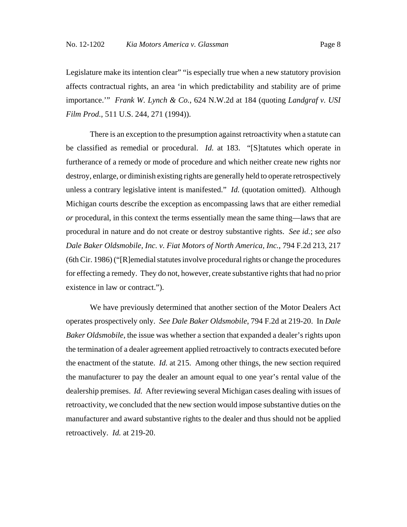Legislature make its intention clear" "is especially true when a new statutory provision affects contractual rights, an area 'in which predictability and stability are of prime importance.'" *Frank W. Lynch & Co.*, 624 N.W.2d at 184 (quoting *Landgraf v. USI Film Prod.*, 511 U.S. 244, 271 (1994)).

There is an exception to the presumption against retroactivity when a statute can be classified as remedial or procedural. *Id.* at 183. "[S]tatutes which operate in furtherance of a remedy or mode of procedure and which neither create new rights nor destroy, enlarge, or diminish existing rights are generally held to operate retrospectively unless a contrary legislative intent is manifested." *Id.* (quotation omitted). Although Michigan courts describe the exception as encompassing laws that are either remedial *or* procedural, in this context the terms essentially mean the same thing—laws that are procedural in nature and do not create or destroy substantive rights. *See id.*; *see also Dale Baker Oldsmobile, Inc. v. Fiat Motors of North America, Inc.*, 794 F.2d 213, 217 (6th Cir. 1986) ("[R]emedial statutes involve procedural rights or change the procedures for effecting a remedy. They do not, however, create substantive rights that had no prior existence in law or contract.").

We have previously determined that another section of the Motor Dealers Act operates prospectively only. *See Dale Baker Oldsmobile*, 794 F.2d at 219-20. In *Dale Baker Oldsmobile*, the issue was whether a section that expanded a dealer's rights upon the termination of a dealer agreement applied retroactively to contracts executed before the enactment of the statute. *Id.* at 215. Among other things, the new section required the manufacturer to pay the dealer an amount equal to one year's rental value of the dealership premises. *Id.* After reviewing several Michigan cases dealing with issues of retroactivity, we concluded that the new section would impose substantive duties on the manufacturer and award substantive rights to the dealer and thus should not be applied retroactively. *Id.* at 219-20.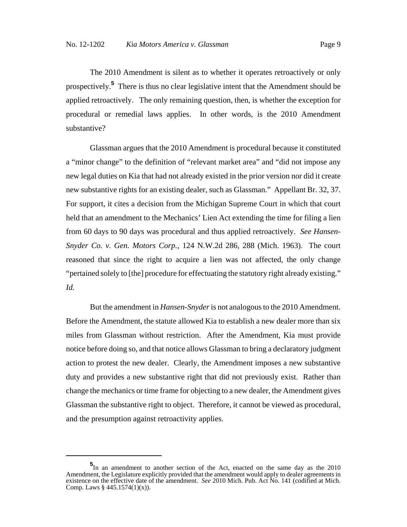The 2010 Amendment is silent as to whether it operates retroactively or only prospectively.**<sup>5</sup>** There is thus no clear legislative intent that the Amendment should be applied retroactively. The only remaining question, then, is whether the exception for procedural or remedial laws applies. In other words, is the 2010 Amendment substantive?

Glassman argues that the 2010 Amendment is procedural because it constituted a "minor change" to the definition of "relevant market area" and "did not impose any new legal duties on Kia that had not already existed in the prior version nor did it create new substantive rights for an existing dealer, such as Glassman." Appellant Br. 32, 37. For support, it cites a decision from the Michigan Supreme Court in which that court held that an amendment to the Mechanics' Lien Act extending the time for filing a lien from 60 days to 90 days was procedural and thus applied retroactively. *See Hansen-Snyder Co. v. Gen. Motors Corp.*, 124 N.W.2d 286, 288 (Mich. 1963). The court reasoned that since the right to acquire a lien was not affected, the only change "pertained solely to [the] procedure for effectuating the statutory right already existing." *Id.*

But the amendment in *Hansen-Snyder* is not analogous to the 2010 Amendment. Before the Amendment, the statute allowed Kia to establish a new dealer more than six miles from Glassman without restriction. After the Amendment, Kia must provide notice before doing so, and that notice allows Glassman to bring a declaratory judgment action to protest the new dealer. Clearly, the Amendment imposes a new substantive duty and provides a new substantive right that did not previously exist. Rather than change the mechanics or time frame for objecting to a new dealer, the Amendment gives Glassman the substantive right to object. Therefore, it cannot be viewed as procedural, and the presumption against retroactivity applies.

**<sup>5</sup>** In an amendment to another section of the Act, enacted on the same day as the 2010 Amendment, the Legislature explicitly provided that the amendment would apply to dealer agreements in existence on the effective date of the amendment. *See* 2010 Mich. Pub. Act No. 141 (codified at Mich. Comp. Laws § 445.1574(1)(x)).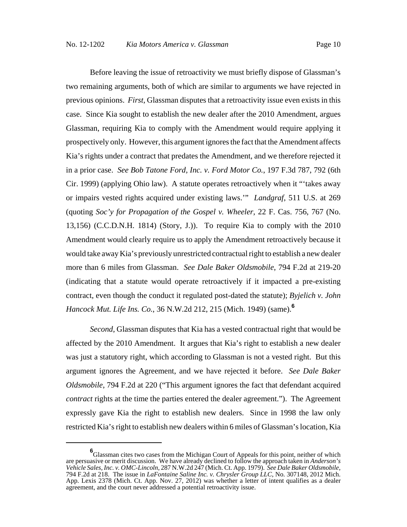Before leaving the issue of retroactivity we must briefly dispose of Glassman's two remaining arguments, both of which are similar to arguments we have rejected in previous opinions. *First*, Glassman disputes that a retroactivity issue even exists in this case. Since Kia sought to establish the new dealer after the 2010 Amendment, argues Glassman, requiring Kia to comply with the Amendment would require applying it prospectively only. However, this argument ignores the fact that the Amendment affects Kia's rights under a contract that predates the Amendment, and we therefore rejected it in a prior case. *See Bob Tatone Ford, Inc. v. Ford Motor Co.*, 197 F.3d 787, 792 (6th Cir. 1999) (applying Ohio law). A statute operates retroactively when it "'takes away or impairs vested rights acquired under existing laws.'" *Landgraf*, 511 U.S. at 269 (quoting *Soc'y for Propagation of the Gospel v. Wheeler*, 22 F. Cas. 756, 767 (No. 13,156) (C.C.D.N.H. 1814) (Story, J.)). To require Kia to comply with the 2010 Amendment would clearly require us to apply the Amendment retroactively because it would take away Kia's previously unrestricted contractual right to establish a new dealer more than 6 miles from Glassman. *See Dale Baker Oldsmobile*, 794 F.2d at 219-20 (indicating that a statute would operate retroactively if it impacted a pre-existing contract, even though the conduct it regulated post-dated the statute); *Byjelich v. John Hancock Mut. Life Ins. Co.*, 36 N.W.2d 212, 215 (Mich. 1949) (same).**<sup>6</sup>**

*Second*, Glassman disputes that Kia has a vested contractual right that would be affected by the 2010 Amendment. It argues that Kia's right to establish a new dealer was just a statutory right, which according to Glassman is not a vested right. But this argument ignores the Agreement, and we have rejected it before. *See Dale Baker Oldsmobile*, 794 F.2d at 220 ("This argument ignores the fact that defendant acquired *contract* rights at the time the parties entered the dealer agreement."). The Agreement expressly gave Kia the right to establish new dealers. Since in 1998 the law only restricted Kia's right to establish new dealers within 6 miles of Glassman's location, Kia

**<sup>6</sup>** Glassman cites two cases from the Michigan Court of Appeals for this point, neither of which are persuasive or merit discussion. We have already declined to follow the approach taken in *Anderson's Vehicle Sales, Inc. v. OMC-Lincoln*, 287 N.W.2d 247 (Mich. Ct. App. 1979). *See Dale Baker Oldsmobile*, 794 F.2d at 218. The issue in *LaFontaine Saline Inc. v. Chrysler Group LLC*, No. 307148, 2012 Mich. App. Lexis 2378 (Mich. Ct. App. Nov. 27, 2012) was whether a letter of intent qualifies as a dealer agreement, and the court never addressed a potential retroactivity issue.